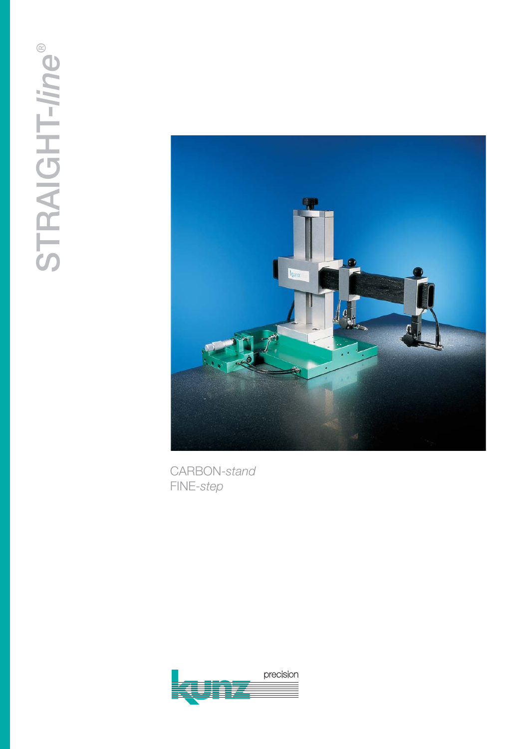

CARBON-*stand* FINE-*step*

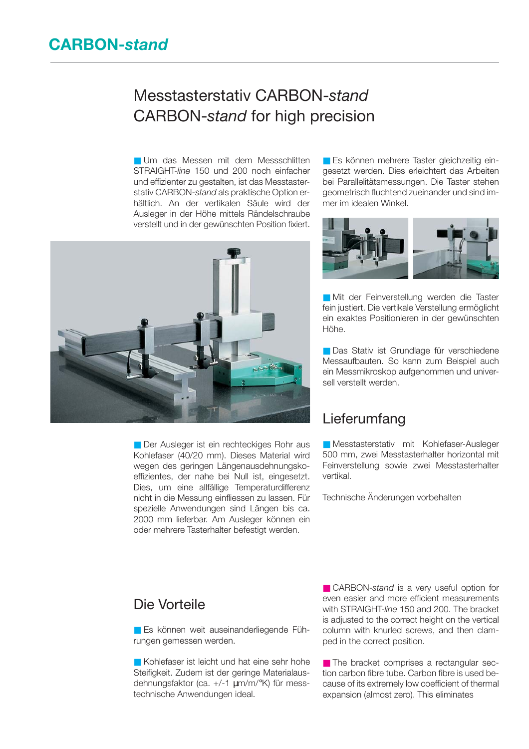# Messtasterstativ CARBON-*stand* CARBON-*stand* for high precision

■ Um das Messen mit dem Messschlitten STRAIGHT-*line* 150 und 200 noch einfacher und effizienter zu gestalten, ist das Messtasterstativ CARBON-*stand* als praktische Option erhältlich. An der vertikalen Säule wird der Ausleger in der Höhe mittels Rändelschraube verstellt und in der gewünschten Position fixiert.



■ Der Ausleger ist ein rechteckiges Rohr aus Kohlefaser (40/20 mm). Dieses Material wird wegen des geringen Längenausdehnungskoeffizientes, der nahe bei Null ist, eingesetzt. Dies, um eine allfällige Temperaturdifferenz nicht in die Messung einfliessen zu lassen. Für spezielle Anwendungen sind Längen bis ca. 2000 mm lieferbar. Am Ausleger können ein oder mehrere Tasterhalter befestigt werden.

■ Es können mehrere Taster gleichzeitig eingesetzt werden. Dies erleichtert das Arbeiten bei Parallelitätsmessungen. Die Taster stehen geometrisch fluchtend zueinander und sind immer im idealen Winkel.



■ Mit der Feinverstellung werden die Taster fein justiert. Die vertikale Verstellung ermöglicht ein exaktes Positionieren in der gewünschten Höhe.

■ Das Stativ ist Grundlage für verschiedene Messaufbauten. So kann zum Beispiel auch ein Messmikroskop aufgenommen und universell verstellt werden.

### Lieferumfang

■ Messtasterstativ mit Kohlefaser-Ausleger 500 mm, zwei Messtasterhalter horizontal mit Feinverstellung sowie zwei Messtasterhalter vertikal.

Technische Änderungen vorbehalten

#### Die Vorteile

■ Es können weit auseinanderliegende Führungen gemessen werden.

■ Kohlefaser ist leicht und hat eine sehr hohe Steifigkeit. Zudem ist der geringe Materialausdehnungsfaktor (ca. +/-1 µm/m/°K) für messtechnische Anwendungen ideal.

■ CARBON-*stand* is a very useful option for even easier and more efficient measurements with STRAIGHT-*line* 150 and 200. The bracket is adjusted to the correct height on the vertical column with knurled screws, and then clamped in the correct position.

■ The bracket comprises a rectangular section carbon fibre tube. Carbon fibre is used because of its extremely low coefficient of thermal expansion (almost zero). This eliminates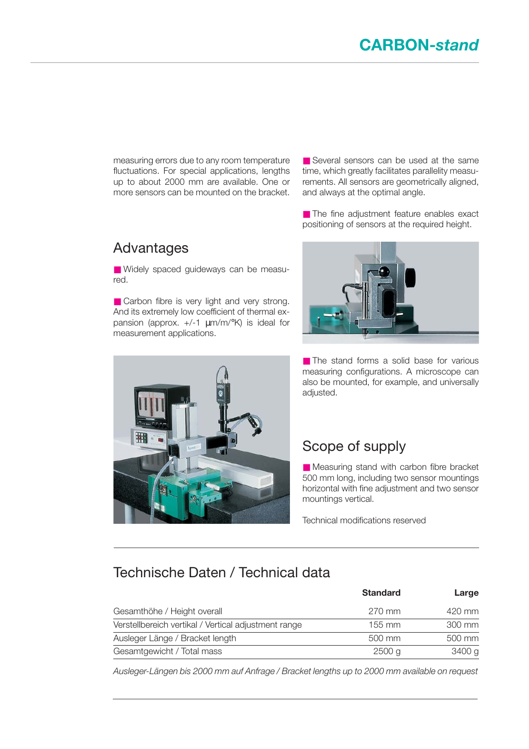measuring errors due to any room temperature fluctuations. For special applications, lengths up to about 2000 mm are available. One or more sensors can be mounted on the bracket.

■ Several sensors can be used at the same time, which greatly facilitates parallelity measurements. All sensors are geometrically aligned, and always at the optimal angle.

■ The fine adjustment feature enables exact positioning of sensors at the required height.

### Advantages

■ Widely spaced quideways can be measured.

■ Carbon fibre is very light and very strong. And its extremely low coefficient of thermal expansion (approx. +/-1 µm/m/°K) is ideal for measurement applications.



■ The stand forms a solid base for various measuring configurations. A microscope can also be mounted, for example, and universally adjusted.

# Scope of supply

■ Measuring stand with carbon fibre bracket 500 mm long, including two sensor mountings horizontal with fine adjustment and two sensor mountings vertical.

Technical modifications reserved

### Technische Daten / Technical data

|                                                      | <b>Standard</b> | Large  |
|------------------------------------------------------|-----------------|--------|
| Gesamthöhe / Height overall                          | 270 mm          | 420 mm |
| Verstellbereich vertikal / Vertical adjustment range | 155 mm          | 300 mm |
| Ausleger Länge / Bracket length                      | 500 mm          | 500 mm |
| Gesamtgewicht / Total mass                           | $2500$ g        | 3400 g |

*Ausleger-Längen bis 2000 mm auf Anfrage / Bracket lengths up to 2000 mm available on request*

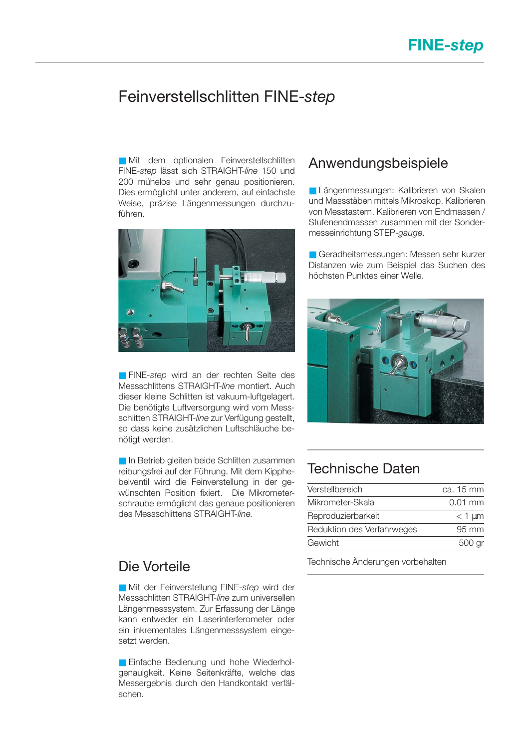# Feinverstellschlitten FINE-*step*

**■ Mit dem optionalen Feinverstellschlitten** FINE-*step* lässt sich STRAIGHT-*line* 150 und 200 mühelos und sehr genau positionieren. Dies ermöglicht unter anderem, auf einfachste Weise, präzise Längenmessungen durchzuführen.



■ FINE-step wird an der rechten Seite des Messschlittens STRAIGHT-*line* montiert. Auch dieser kleine Schlitten ist vakuum-luftgelagert. Die benötigte Luftversorgung wird vom Messschlitten STRAIGHT-*line* zur Verfügung gestellt, so dass keine zusätzlichen Luftschläuche benötigt werden.

■ In Betrieb gleiten beide Schlitten zusammen reibungsfrei auf der Führung. Mit dem Kipphebelventil wird die Feinverstellung in der gewünschten Position fixiert. Die Mikrometerschraube ermöglicht das genaue positionieren des Messschlittens STRAIGHT-*line.*

### Die Vorteile

■ Mit der Feinverstellung FINE-step wird der Messschlitten STRAIGHT-*line* zum universellen Längenmesssystem. Zur Erfassung der Länge kann entweder ein Laserinterferometer oder ein inkrementales Längenmesssystem eingesetzt werden.

■ Einfache Bedienung und hohe Wiederholgenauigkeit. Keine Seitenkräfte, welche das Messergebnis durch den Handkontakt verfälschen.

#### Anwendungsbeispiele

**■ Längenmessungen: Kalibrieren von Skalen** und Massstäben mittels Mikroskop. Kalibrieren von Messtastern. Kalibrieren von Endmassen / Stufenendmassen zusammen mit der Sondermesseinrichtung STEP-*gauge*.

■ Geradheitsmessungen: Messen sehr kurzer Distanzen wie zum Beispiel das Suchen des höchsten Punktes einer Welle.



### Technische Daten

| Verstellbereich            | ca. 15 mm           |
|----------------------------|---------------------|
| Mikrometer-Skala           | $0.01$ mm           |
| Reproduzierbarkeit         | $<$ 1 µm            |
| Reduktion des Verfahrweges | $95 \, \mathrm{mm}$ |
| Gewicht                    | 500 gr              |
|                            |                     |

Technische Änderungen vorbehalten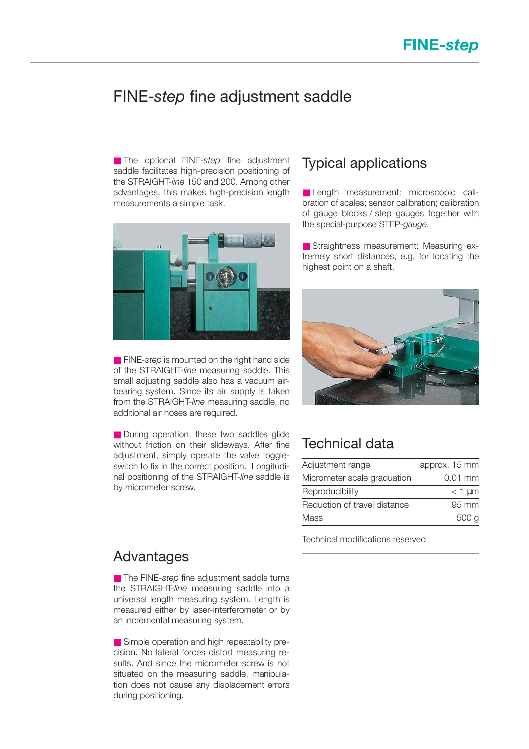# FINE-*step* fine adjustment saddle

■ The optional FINE-step fine adjustment saddle facilitates high-precision positioning of the STRAIGHT-*line* 150 and 200. Among other advantages, this makes high-precision length measurements a simple task.



■ FINE-*step* is mounted on the right hand side of the STRAIGHT-*line* measuring saddle. This small adjusting saddle also has a vacuum airbearing system. Since its air supply is taken from the STRAIGHT-*line* measuring saddle, no additional air hoses are required.

■ During operation, these two saddles glide without friction on their slideways. After fine adjustment, simply operate the valve toggleswitch to fix in the correct position. Longitudinal positioning of the STRAIGHT-*line* saddle is by micrometer screw.

#### Typical applications

**■ Length measurement: microscopic cali**bration of scales; sensor calibration; calibration of gauge blocks / step gauges together with the special-purpose STEP-*gauge*.

■ Straightness measurement: Measuring extremely short distances, e.g. for locating the highest point on a shaft.



### Technical data

| Adjustment range             | approx. 15 mm       |
|------------------------------|---------------------|
| Micrometer scale graduation  | $0.01$ mm           |
| Reproducibility              | $<$ 1 µm            |
| Reduction of travel distance | $95 \, \mathrm{mm}$ |
| Mass                         | 500 a               |

Technical modifications reserved

#### Advantages

■ The FINE-*step* fine adjustment saddle turns the STRAIGHT-*line* measuring saddle into a universal length measuring system. Length is measured either by laser-interferometer or by an incremental measuring system.

■ Simple operation and high repeatability precision. No lateral forces distort measuring results. And since the micrometer screw is not situated on the measuring saddle, manipulation does not cause any displacement errors during positioning.